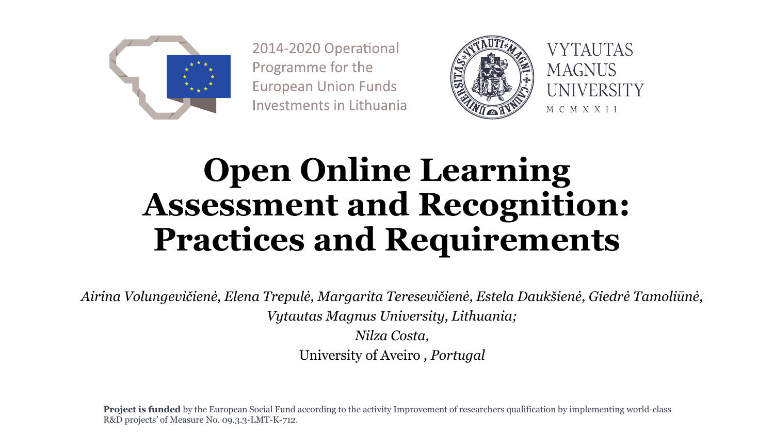

2014-2020 Operational Programme for the **European Union Funds** Investments in Lithuania



**VYTAUTAS MAGNUS UNIVERSITY** M C M X X I I

# **Open Online Learning Assessment and Recognition: Practices and Requirements**

*Airina Volungevičienė, Elena Trepulė, Margarita Teresevičienė, Estela Daukšienė, Giedrė Tamoliūnė, Vytautas Magnus University, Lithuania;* 

> *Nilza Costa,*  University of Aveiro *, Portugal*

**Project is funded** by the European Social Fund according to the activity Improvement of researchers qualification by implementing world-class R&D projects' of Measure No. 09.3.3-LMT-K-712.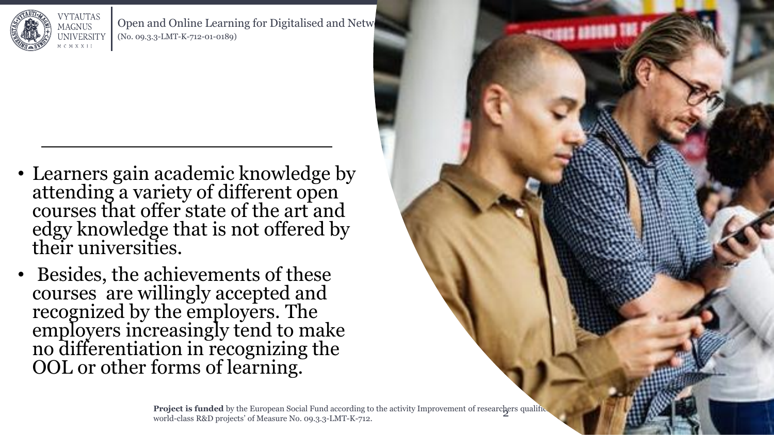

- Learners gain academic knowledge by attending a variety of different open courses that offer state of the art and edgy knowledge that is not offered by their universities.
- Besides, the achievements of these courses are willingly accepted and recognized by the employers. The employers increasingly tend to make no differentiation in recognizing the OOL or other forms of learning.

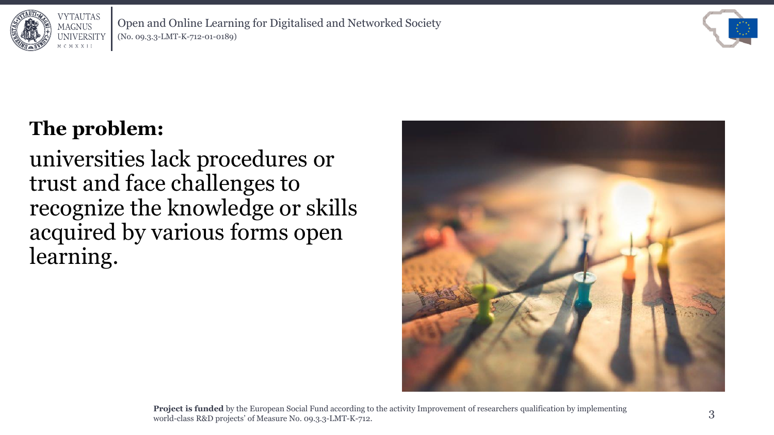



#### **The problem:**

universities lack procedures or trust and face challenges to recognize the knowledge or skills acquired by various forms open learning.

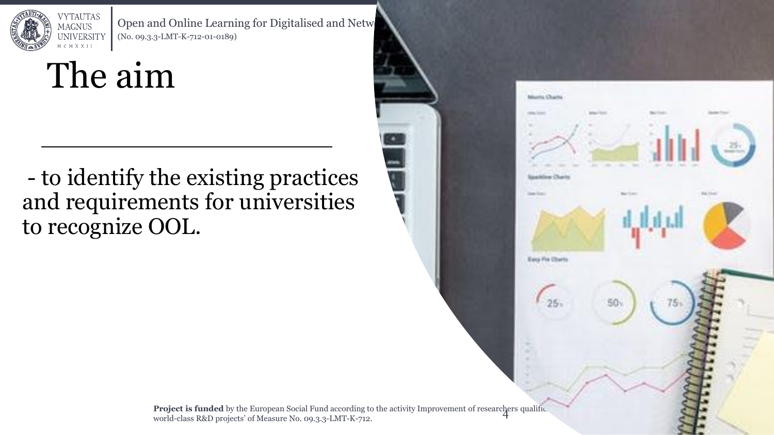

# The aim

- to identify the existing practices and requirements for universities to recognize OOL.



**Project is funded** by the European Social Fund according to the activity Improvement of researchers qualification and the search projects' of Mossuro No. 00.2.2 LMT K 712. world-class R&D projects' of Measure No. 09.3.3-LMT-K-712.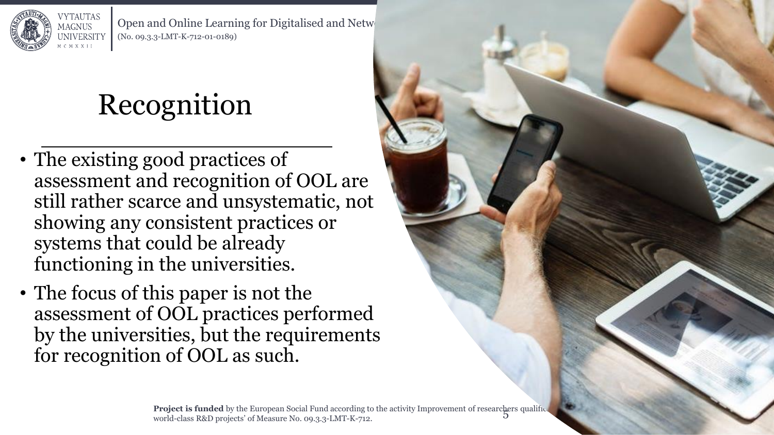

# Recognition

- The existing good practices of assessment and recognition of OOL are still rather scarce and unsystematic, not showing any consistent practices or systems that could be already functioning in the universities.
- The focus of this paper is not the assessment of OOL practices performed by the universities, but the requirements for recognition of OOL as such.

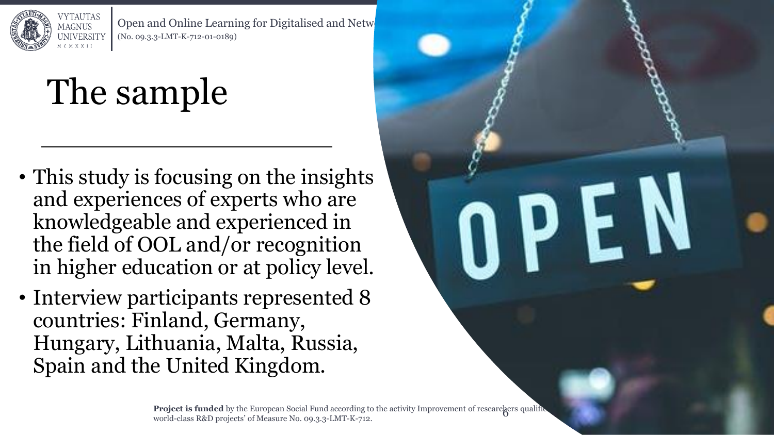

# The sample

- This study is focusing on the insights and experiences of experts who are knowledgeable and experienced in the field of OOL and/or recognition in higher education or at policy level.
- Interview participants represented 8 countries: Finland, Germany, Hungary, Lithuania, Malta, Russia, Spain and the United Kingdom.

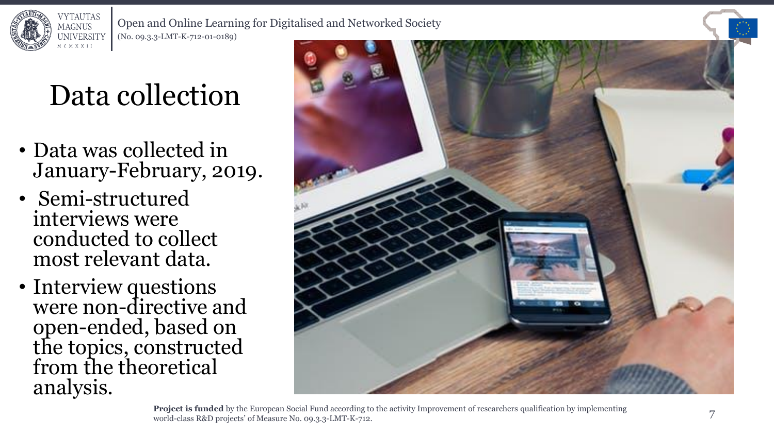

### Data collection

- Data was collected in January-February, 2019.
- Semi-structured interviews were conducted to collect most relevant data.
- Interview questions were non-directive and open-ended, based on the topics, constructed from the theoretical analysis.



**Project is <b>funded** by the European Social Fund according to the activity Improvement of researchers qualification by implementing world-class R&D projects' of Measure No. 09.3.3-LMT-K-712.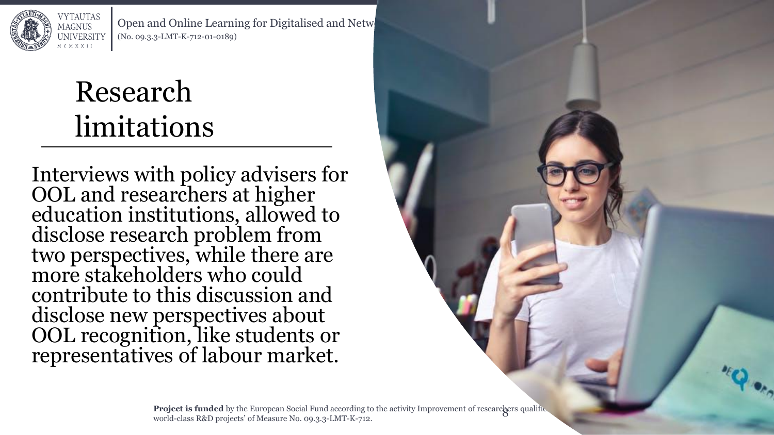

#### Research limitations

Interviews with policy advisers for OOL and researchers at higher education institutions, allowed to disclose research problem from two perspectives, while there are more stakeholders who could contribute to this discussion and disclose new perspectives about OOL recognition, like students or representatives of labour market.

> **Project is funded** by the European Social Fund according to the activity Improvement of researchers qualification by interesting to the activity Improvement of researchers qualification by interesting to the activity of M world-class R&D projects' of Measure No. 09.3.3-LMT-K-712.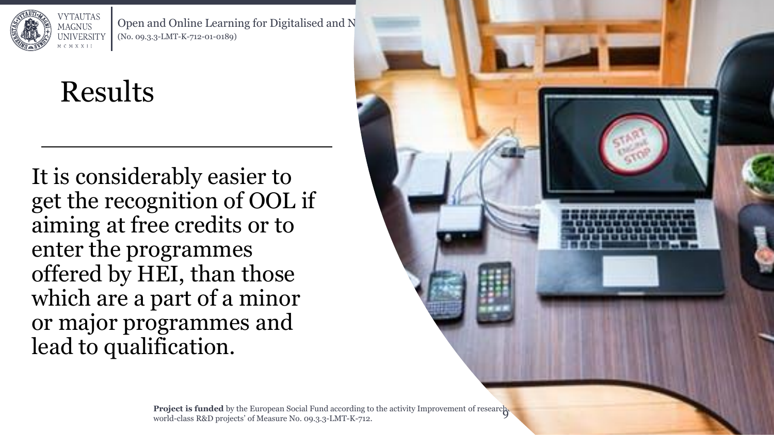

### Results

It is considerably easier to get the recognition of OOL if aiming at free credits or to enter the programmes offered by HEI, than those which are a part of a minor or major programmes and lead to qualification.

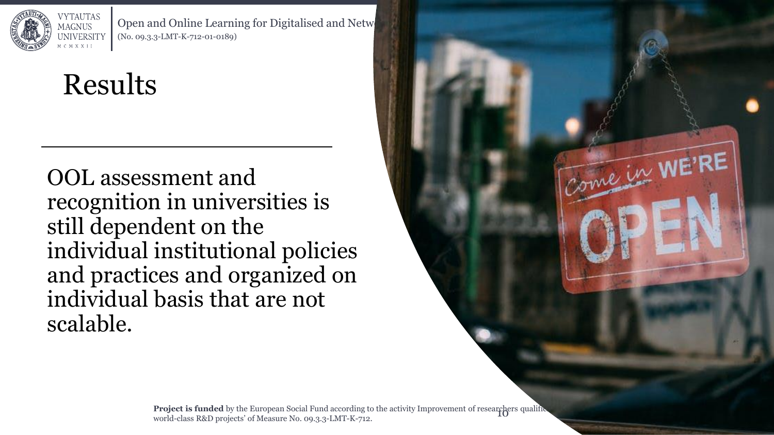

#### Results

OOL assessment and recognition in universities is still dependent on the individual institutional policies and practices and organized on individual basis that are not scalable.

> **Project is funded** by the European Social Fund according to the activity Improvement of researchers qualification by implementing the search projects' of Monsum No. 00.2.2. I MT K, 712. world-class R&D projects' of Measure No. 09.3.3-LMT-K-712.

Come in WE'RE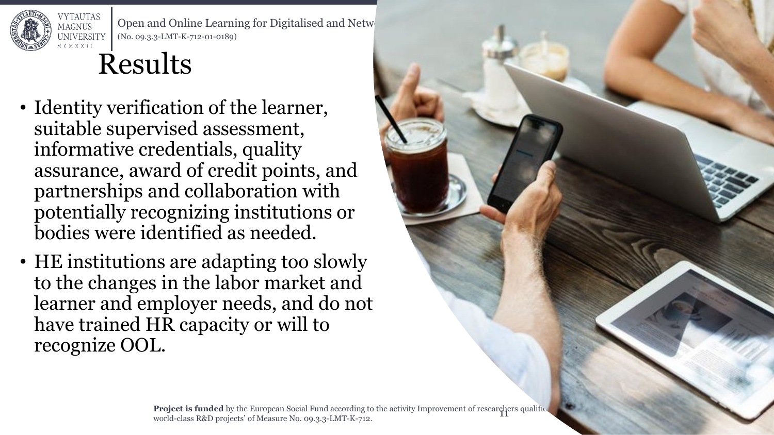

#### Results

- Identity verification of the learner, suitable supervised assessment, informative credentials, quality assurance, award of credit points, and partnerships and collaboration with potentially recognizing institutions or bodies were identified as needed.
- HE institutions are adapting too slowly to the changes in the labor market and learner and employer needs, and do not have trained HR capacity or will to recognize OOL.

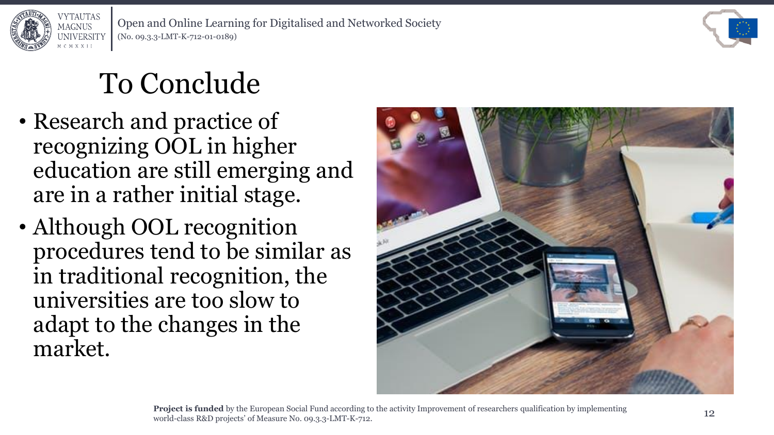



# To Conclude

- Research and practice of recognizing OOL in higher education are still emerging and are in a rather initial stage.
- Although OOL recognition procedures tend to be similar as in traditional recognition, the universities are too slow to adapt to the changes in the market.